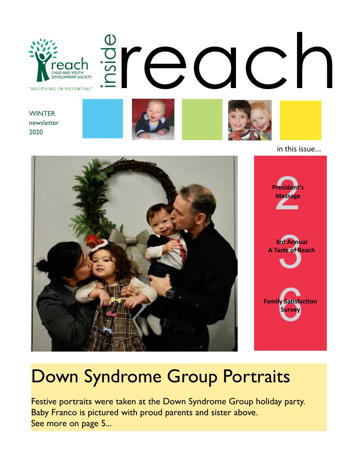

in this issue...





## Down Syndrome Group Portraits

Festive portraits were taken at the Down Syndrome Group holiday party. Baby Franco is pictured with proud parents and sister above. See more on page 5...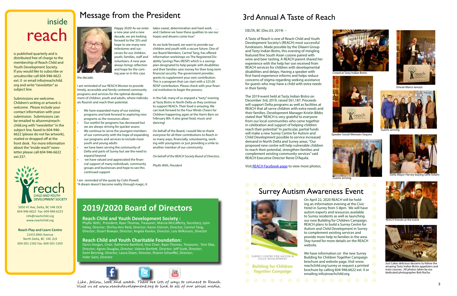# inside reach

## Message from the President

is published quarterly and is distributed free of charge to the membership of Reach Child and Youth Development Society. If you would like to subscribe or unsubscribe call 604-946-6622 ext. 0 or email info@reachchild. org and write "newsletter" as subject line.

Submissions are welcome. Children's writing or artwork is welcome. Please include your contact information with your submission. Submissions can be emailed to alisonm@reachchild.org with "newsletter" in the subject line, faxed to 604-946- 6622 (please do not fax artwork), mailed or dropped off at the front desk. For more information about the "inside reach" newsletter please call 604-946-6622 ext.337.



5050 47 Ave, Delta, BC V4K OC8 604-946-6622 Fax: 604-946-6223 info@reachchild.org www.reachchild.org

**Reach Play and Learn Centre** 11415 84th Avenue North Delta, BC V4C 2L9 604-501-1502 Fax: 604-501-1359

- We have expanded many of our existing programs and look forward to exploring new programs as the resources allow:
- Our waitlist for programs has decreased but we are always striving for quicker assess
- We continue to serve the youngest members of our community with the hope of expanding our programs and services to include more youth and young adults
- we have been serving the community of Delta and parts of Surrey but see the need to expand beyond
- we have valued and appreciated the financial support of many individuals, community groups and businesses and hope to see this continued support



the decade.

I am reminded of our REACH Mission to provide timely, accessible and family centered community programs and services for the optimal development of children, youth and adults, where individuals flourish and reach their potential.

Like, follow, look and watch. There are lots of ways to connect to Reach. Visit us at www.reachdevelopment.org to link to all of our social media.

I am reminded of the quote by Colin Powell, "A dream doesn't become reality through magic; it takes sweat, determination and hard work. … and I believe we have these qualities to see our hopes and dreams come true."

As we look forward, we want to provide our children and youth with a secure future. One of our Board Members, Carmel Tang, has offered information workshops on The Registered Disability Savings Plan (RDSP) which is a savings plan designated to help people with disabilities and their families save money for their long-term financial security. The government provides grants to supplement your own contribution. This is a program that can start with a \$25.00 RDSP contribution. Please check with your financial institution to begin the process.

In the Fall, many of us enjoyed a "tasty" evening at Tasty Bistro in North Delta as they continue to support REACh. Their food is amazing. We can look forward to the Four Winds Cheers for Children happening again at the Harris Barn on February 8th. It also great food, music and dancing!

On behalf of the Board, I would like to thank everyone for all their contributions to Reach in so many ways, financially, volunteering, working with youngsters or just providing a smile to another member of our community.

*On behalf of the REACH Society Board of Directors,*

*Phyllis With, President*

#### **2019/2020 Board of Directors**

#### **Reach Child and Youth Development Society :**

Phyllis With, President; Ryan Thomas, Treasurer; Marcia McCafferty, Secretary; Lynn Haley, Director; Shirley-Ann Reid, Director; Karen Ostrom, Director; Carmel Tang, Director; Stuart Bowyer, Director; Angela Keulen, Director; Lois Wilkinson, Director

#### **Reach Child and Youth Charitable Foundation:**

Denis Horgan, Chair; Katherine Bamford, Vice Chair; Ryan Thomas, Treasurer; Tom Siba, Director; Agnes Douglas, Director; Valerie Bartlett, Director; Jeff Scott, Director; Somi Benning, Director; Laura Dixon, Director, Sharon Schoeffel, Director; Inder Saini, Director



#### DELTA, BC (Dec.03, 2019) –

A Taste of Reach is one of Reach Child and Youth Development Society's (REACH) most successful fundraisers. Made possible by the Dilawri Group and Tasty Indian Bistro, this evening of mingling featured fine South Asian cuisine paired with wine and beer tasting. A REACH parent shared her experience with the help her son received from REACH services for children with developmental disabilities and delays. Having a speaker with first-hand experience informs and helps reduce concerns of stigma regarding seeking assistance for guests who may have a child with extra needs in their family.

The 2019 event held at Tasty Indian Bistro on December 3rd, 2019, raised \$61,187. Proceeds will support Delta programs as well as facilities at REACH that all serve children with extra needs and their families. Development Manager Kristin Bibbs stated that "REACH is very grateful to everyone from our local communities who came together in celebration and support of helping children reach their potential." In particular, partial funds will make a new Surrey Centre for Autism and Child Development possible to service increased demand in North Delta and Surrey areas. "Our proposed new centre will help vulnerable children to reach their potential, strengthen families and complement existing community services" said REACH Executive Director Renie D'Aquila.

Visi[t REACH Facebook page](https://www.facebook.com/pg/reachsocietybc/photos/?tab=album&album_id=2809738389056589) to view more photos.

## 3rd Annual A Taste of Reach

## Surrey Autism Awareness Event



SURREY CENTRE FOR AUTISM &<br>CHILD DEVELOPMENT

**Building for Children Together Campaign** 



Emcee Marco Ianuzzi



Guests arriving



Harvey buying



Guests arriving



REACH friends at the event



Just Cakes delicious desserts to follow the amazing Tasty Indian Bistro appetizers and main courses. .All photos taken by our dedicated photographer Bob Roche.



Crowd at Tasty Indian Bistro



Speaker Sonali Menezes-Sequira

On April 22, 2020 REACH will be holding an information evening at the Civic Hotel in Surrey from 5-8pm. We will have autism experts and resources available to Surrey residents as well as launching our new Building for Children Campaign. REACH plans to build a Surrey Centre for Autism and Child Development in Surrey to complement existing services and provide more help to families in the area. Stay tuned for more details on the REACH website.

We have information on the new Surrey Building for Children Together Campaign brochure and website page. Visit www. reachchild.org/surrey or request a printed brochure by calling 604-946.6622 ext. 0 or emailing info@reachchild.org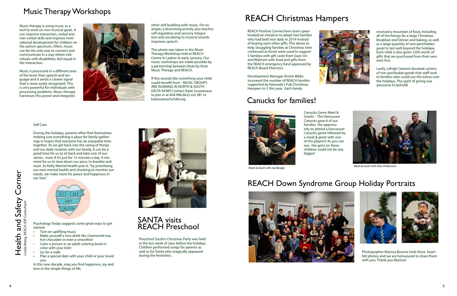





During the holidays, parents often find themselves making sure everything is place for family gatherings in hopes that everyone has an enjoyable time together. As we get back into the swing of things and our daily routines with our family, it can be a good time for us to sit back and take care of ourselves... even if it's just for 15 minutes a day. A moment for us to slow down our pace, to breathe and reset. As Kelty Mental Health puts it, "by prioritizing our own mental health and checking to monitor our needs, we make room for peace and happiness in our lives<sup>1</sup>



#### Self Care

SANTA visits REACH Preschool

Psychology Today suggests some great ways to get started:

- Turn on uplifting music
- Make yourself a nice drink like chamomile tea, hot chocolate or even a smoothie!
- Color a picture in an adult coloring book or color with your kids!
- Go for a walk
- Plan a special date with your child or your loved one

In this new decade, may you find happiness, joy and love in the simple things of life.



#### Music Therapy Workshops

#### Canucks for families!



#### REACH Down Syndrome Group Holiday Portraits

## REACH Christmas Hampers

other skill building with music. For example, a drumming activity also teaches self-regulation and sensory integration and vocalizing to musical sounds improves speech.

This photo was taken in the Music Therapy Workshop held at REACH Centre in Ladner in early January. Our music workshops are made possible by a partnership between Note by Note Music Therapy and REACH.

If this sounds like something your child could benefit from - MUSIC GROUPS ARE RUNNING IN NORTH & SOUTH DELTA NOW!! Contact Katie Scozzavava to join in at 604.946.6622 ext 381 or katies@reachchild.org.

Music therapy is using music as a tool to work on non-musical goals. It can improve interaction, verbal and non-verbal skills and improve motivational development for children on the autism spectrum. Often, music can be the only way to connect and communicate in a way where individuals with disabilities, feel equal in the interaction.

Music is processed in a different area of the brain than speech and language and it sends a clearer signal that is more easily recognized. This is very powerful for individuals with processing problems. Music therapy harnesses this power and integrates



Canucks Game Meet & Greets – The Vancouver Canucks gave 6 of our families the opportunity to attend a Vancouver Canucks game followed by a meet & greet with one of the players!! As you can see, the grins on these children could not be any bigger!

Preschool South's Christmas Party was held in the last week of class before the holidays. Children performed songs for parents as well as for Santa who magically appeared during the festivities.



Photographer Marissa Bourne took these heartfelt photos and we are honuoured to share them with you. Thank you Marissa!

received a mountain of food, including all of the fixings for a large Christmas Breakfast and Dinner and baking, as well as a large quantity of non-perishables good to last well beyond the holidays. Each child is also given \$200 worth of gifts that are purchased from their own wish lists.

Lastly, Lehigh Cement donated cartons of non-perishable goods that staff took to families who could use the extras over the holidays. The spirit of giving was awesome to behold!



Meet & Greet with Jay Beagle Meet & Greet with Elias Pettersson



REACH Positive Connections team spearheaded an initiative to adopt two families who had both lost dads in 2019 instead of buying each other gifts. This desire to help struggling families at Christmas time continued as funds were used to support 5 families with gift cards from Save-On and Walmart with food and gifts from the REACH emergency fund approved by REACH Board Directors.

Development Manager Kristin Bibbs increased the number of REACH families supported by Kennedy's Pub Christmas Hampers to 5 this year. Each family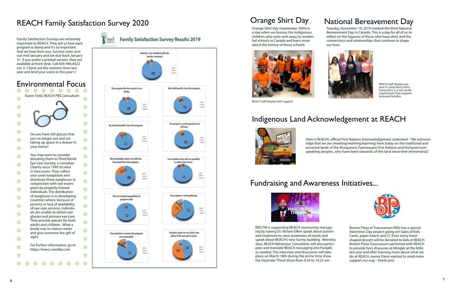Tuesday, November 19, 2019 marked the third National Bereavement Day in Canada. This is a day for all of us to reflect on the legacies of those who have died, and the connections and relationships that continue to shape



# our lives.



REACH staff display sup port in Camp Kerry shirts. Camp Kerry is a non-profit organization that supports bereaved families.



REACH staff display their support

Orange Shirt Day (September 30th) is a day when we honour the Indigenous children who were sent away to residen tial schools in Canada and learn more about the history of those schools

> Here is REACH's official First Nations Acknowledgement statement -"We acknowl edge that we are (meeting/working/learning) here today on the traditional and ancestral lands of the Musqueam,Tsawwassen First Nations and Hul'qumi'num speaking peoples, who have been stewards of this land since time immemorial."



## Orange Shirt Day

#### Indigenous Land Acknowledgement at REACH

#### National Bereavement Day

## Fundraising and Awareness Initiatives...



RED FM is supporting REACH community messag ing by having Dr. Miriam Elfert speak about autism and treatment to raise awareness of needs and speak about REACH's new Surrey building. Monisha Jassi, REACH Behaviour Consultant, will also partici pate and translate REACH messaging into Punjabi as needed. The interview and discussion will take place on March 18th during the prime time show the Harjinder Thind Show from 9:24 to 10:25 am.

Boston Pizza at Tsawwassen Mills has a special Valentines Day project going on! Sales of Kids Cards, paper hearts and \$1 from every heart shaped dessert will be donated to kids at REACH. Boston Pizza Tsawwassen partnered with REACH to provide hors d'oeuvres at Mingler at the Mills last year and after learning more about what we do at REACH, owner Darin wanted to send more support our way - thank you!

Family Satisfaction Surveys are extremely important to REACH. They tell us how each program is doing and it's so important that we hear from you. Surveys were sent out mid-January and are due back January 31. If you prefer a printed version, they are available at front desk. Call 604-946.6622 ext. 0. Check out the statistics from last year and lend your voice to this year's !





#### Environmental Focus

**Family Satisfaction Survey Results 2019** 



## REACH Family Satisfaction Survey 2020